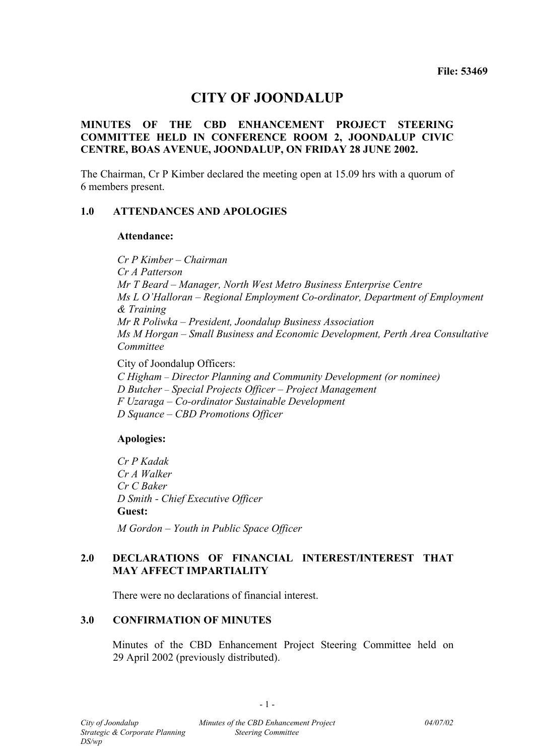# **CITY OF JOONDALUP**

# **MINUTES OF THE CBD ENHANCEMENT PROJECT STEERING COMMITTEE HELD IN CONFERENCE ROOM 2, JOONDALUP CIVIC CENTRE, BOAS AVENUE, JOONDALUP, ON FRIDAY 28 JUNE 2002.**

The Chairman, Cr P Kimber declared the meeting open at 15.09 hrs with a quorum of 6 members present.

#### **1.0 ATTENDANCES AND APOLOGIES**

#### **Attendance:**

*Cr P Kimber – Chairman Cr A Patterson Mr T Beard – Manager, North West Metro Business Enterprise Centre Ms L O'Halloran – Regional Employment Co-ordinator, Department of Employment & Training Mr R Poliwka – President, Joondalup Business Association Ms M Horgan – Small Business and Economic Development, Perth Area Consultative Committee* 

City of Joondalup Officers:

*C Higham – Director Planning and Community Development (or nominee)* 

*D Butcher – Special Projects Officer – Project Management* 

*F Uzaraga – Co-ordinator Sustainable Development* 

*D Squance – CBD Promotions Officer* 

# **Apologies:**

*Cr P Kadak Cr A Walker Cr C Baker D Smith - Chief Executive Officer*  **Guest:** 

*M Gordon – Youth in Public Space Officer* 

# **2.0 DECLARATIONS OF FINANCIAL INTEREST/INTEREST THAT MAY AFFECT IMPARTIALITY**

There were no declarations of financial interest.

# **3.0 CONFIRMATION OF MINUTES**

Minutes of the CBD Enhancement Project Steering Committee held on 29 April 2002 (previously distributed).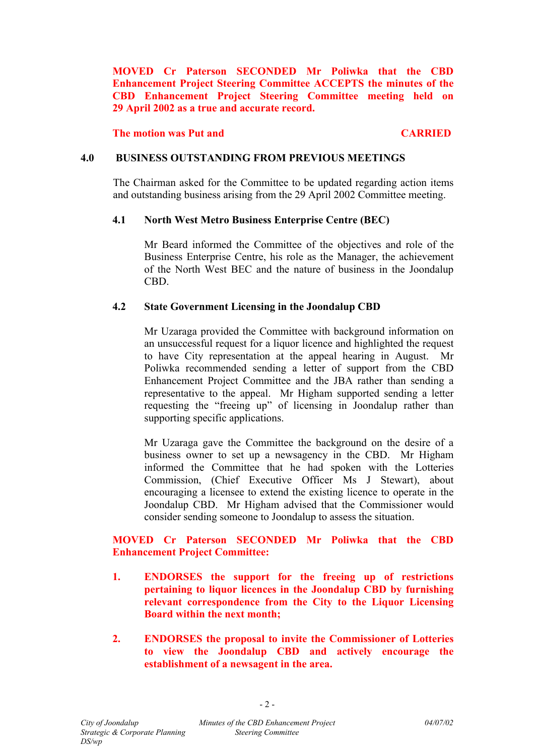**MOVED Cr Paterson SECONDED Mr Poliwka that the CBD Enhancement Project Steering Committee ACCEPTS the minutes of the CBD Enhancement Project Steering Committee meeting held on 29 April 2002 as a true and accurate record.** 

**The motion was Put and CARRIED** CARRIED

#### **4.0 BUSINESS OUTSTANDING FROM PREVIOUS MEETINGS**

The Chairman asked for the Committee to be updated regarding action items and outstanding business arising from the 29 April 2002 Committee meeting.

### **4.1 North West Metro Business Enterprise Centre (BEC)**

Mr Beard informed the Committee of the objectives and role of the Business Enterprise Centre, his role as the Manager, the achievement of the North West BEC and the nature of business in the Joondalup CBD.

### **4.2 State Government Licensing in the Joondalup CBD**

Mr Uzaraga provided the Committee with background information on an unsuccessful request for a liquor licence and highlighted the request to have City representation at the appeal hearing in August. Mr Poliwka recommended sending a letter of support from the CBD Enhancement Project Committee and the JBA rather than sending a representative to the appeal. Mr Higham supported sending a letter requesting the "freeing up" of licensing in Joondalup rather than supporting specific applications.

Mr Uzaraga gave the Committee the background on the desire of a business owner to set up a newsagency in the CBD. Mr Higham informed the Committee that he had spoken with the Lotteries Commission, (Chief Executive Officer Ms J Stewart), about encouraging a licensee to extend the existing licence to operate in the Joondalup CBD. Mr Higham advised that the Commissioner would consider sending someone to Joondalup to assess the situation.

# **MOVED Cr Paterson SECONDED Mr Poliwka that the CBD Enhancement Project Committee:**

- **1. ENDORSES the support for the freeing up of restrictions pertaining to liquor licences in the Joondalup CBD by furnishing relevant correspondence from the City to the Liquor Licensing Board within the next month;**
- **2. ENDORSES the proposal to invite the Commissioner of Lotteries to view the Joondalup CBD and actively encourage the establishment of a newsagent in the area.**

 $-2-$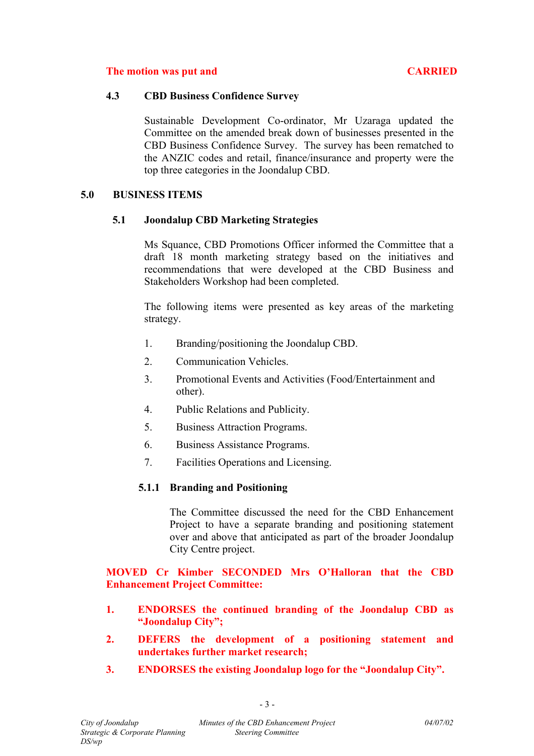### **The motion was put and <b>CARRIED** CARRIED

#### **4.3 CBD Business Confidence Survey**

Sustainable Development Co-ordinator, Mr Uzaraga updated the Committee on the amended break down of businesses presented in the CBD Business Confidence Survey. The survey has been rematched to the ANZIC codes and retail, finance/insurance and property were the top three categories in the Joondalup CBD.

### **5.0 BUSINESS ITEMS**

### **5.1 Joondalup CBD Marketing Strategies**

Ms Squance, CBD Promotions Officer informed the Committee that a draft 18 month marketing strategy based on the initiatives and recommendations that were developed at the CBD Business and Stakeholders Workshop had been completed.

The following items were presented as key areas of the marketing strategy.

- 1. Branding/positioning the Joondalup CBD.
- 2. Communication Vehicles.
- 3. Promotional Events and Activities (Food/Entertainment and other).
- 4. Public Relations and Publicity.
- 5. Business Attraction Programs.
- 6. Business Assistance Programs.
- 7. Facilities Operations and Licensing.

# **5.1.1 Branding and Positioning**

The Committee discussed the need for the CBD Enhancement Project to have a separate branding and positioning statement over and above that anticipated as part of the broader Joondalup City Centre project.

# **MOVED Cr Kimber SECONDED Mrs O'Halloran that the CBD Enhancement Project Committee:**

- **1. ENDORSES the continued branding of the Joondalup CBD as "Joondalup City";**
- **2. DEFERS the development of a positioning statement and undertakes further market research;**
- **3. ENDORSES the existing Joondalup logo for the "Joondalup City".**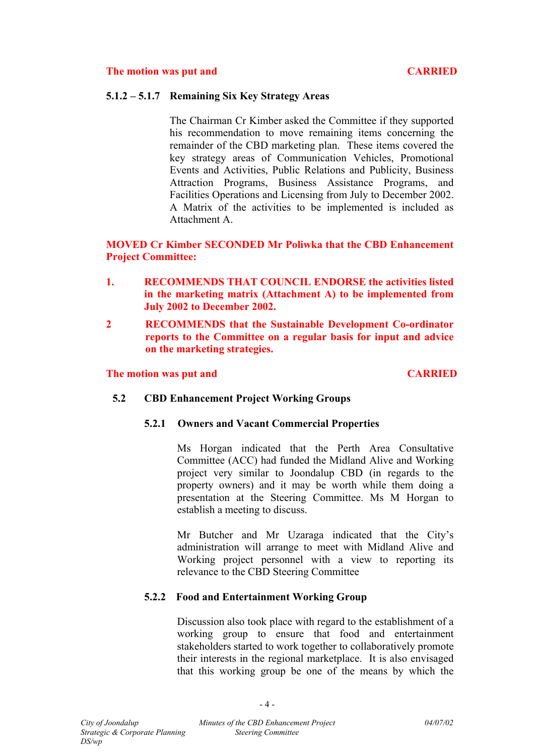#### **5.1.2 – 5.1.7 Remaining Six Key Strategy Areas**

The Chairman Cr Kimber asked the Committee if they supported his recommendation to move remaining items concerning the remainder of the CBD marketing plan. These items covered the key strategy areas of Communication Vehicles, Promotional Events and Activities, Public Relations and Publicity, Business Attraction Programs, Business Assistance Programs, and Facilities Operations and Licensing from July to December 2002. A Matrix of the activities to be implemented is included as Attachment A.

### **MOVED Cr Kimber SECONDED Mr Poliwka that the CBD Enhancement Project Committee:**

- **1. RECOMMENDS THAT COUNCIL ENDORSE the activities listed in the marketing matrix (Attachment A) to be implemented from July 2002 to December 2002.**
- **2 RECOMMENDS that the Sustainable Development Co-ordinator reports to the Committee on a regular basis for input and advice on the marketing strategies.**

#### **The motion was put and <b>CARRIED** CARRIED

#### **5.2 CBD Enhancement Project Working Groups**

#### **5.2.1 Owners and Vacant Commercial Properties**

Ms Horgan indicated that the Perth Area Consultative Committee (ACC) had funded the Midland Alive and Working project very similar to Joondalup CBD (in regards to the property owners) and it may be worth while them doing a presentation at the Steering Committee. Ms M Horgan to establish a meeting to discuss.

Mr Butcher and Mr Uzaraga indicated that the City's administration will arrange to meet with Midland Alive and Working project personnel with a view to reporting its relevance to the CBD Steering Committee

#### **5.2.2 Food and Entertainment Working Group**

Discussion also took place with regard to the establishment of a working group to ensure that food and entertainment stakeholders started to work together to collaboratively promote their interests in the regional marketplace. It is also envisaged that this working group be one of the means by which the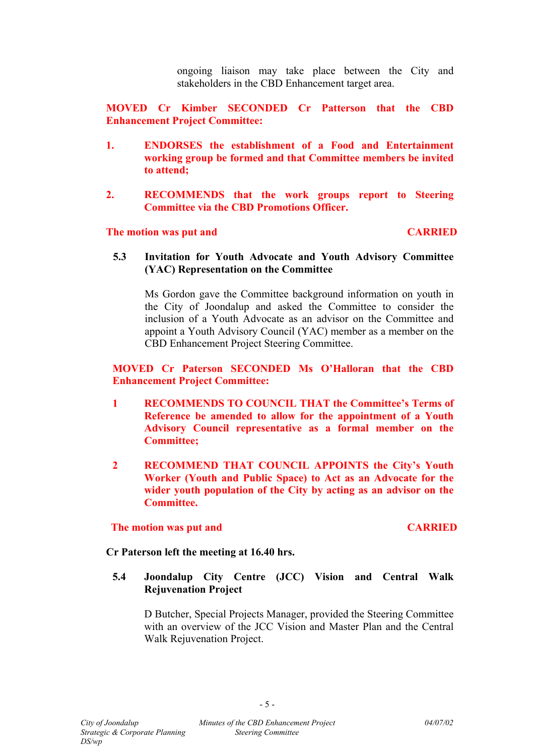ongoing liaison may take place between the City and stakeholders in the CBD Enhancement target area.

**MOVED Cr Kimber SECONDED Cr Patterson that the CBD Enhancement Project Committee:**

- **1. ENDORSES the establishment of a Food and Entertainment working group be formed and that Committee members be invited to attend;**
- **2. RECOMMENDS that the work groups report to Steering Committee via the CBD Promotions Officer.**

#### **The motion was put and CARRIED**

**5.3 Invitation for Youth Advocate and Youth Advisory Committee (YAC) Representation on the Committee** 

Ms Gordon gave the Committee background information on youth in the City of Joondalup and asked the Committee to consider the inclusion of a Youth Advocate as an advisor on the Committee and appoint a Youth Advisory Council (YAC) member as a member on the CBD Enhancement Project Steering Committee.

**MOVED Cr Paterson SECONDED Ms O'Halloran that the CBD Enhancement Project Committee:** 

- **1 RECOMMENDS TO COUNCIL THAT the Committee's Terms of Reference be amended to allow for the appointment of a Youth Advisory Council representative as a formal member on the Committee;**
- **2 RECOMMEND THAT COUNCIL APPOINTS the City's Youth Worker (Youth and Public Space) to Act as an Advocate for the wider youth population of the City by acting as an advisor on the Committee.**

#### **The motion was put and CARRIED**

#### **Cr Paterson left the meeting at 16.40 hrs.**

**5.4 Joondalup City Centre (JCC) Vision and Central Walk Rejuvenation Project** 

D Butcher, Special Projects Manager, provided the Steering Committee with an overview of the JCC Vision and Master Plan and the Central Walk Rejuvenation Project.